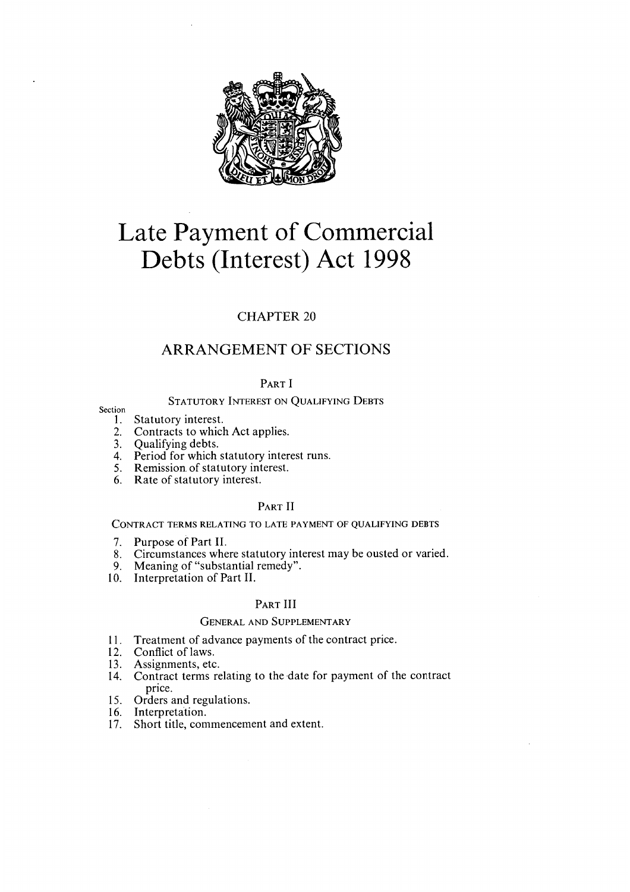

# Late Payment of Commercial Debts (Interest) Act 1998

# CHAPTER 20

# ARRANGEMENT OF SECTIONS

PART I

# STATUTORY INTEREST ON QUALIFYING DEBTS

- Section<br>1. Statutory interest.
	- 2. Contracts to which Act applies.
	- 3. Qualifying debts.
	- 4. Period for which statutory interest runs.
	- 5. Remission. of statutory interest.
	- 6. Rate of statutory interest.

# PART II

CONTRACT TERMS RELATING TO LATE PAYMENT OF QUALIFYING DEBTS

- 7. Purpose of Part II.
- 8. Circumstances where statutory interest may be ousted or varied.
- 9. Meaning of "substantial remedy".
- 10. Interpretation of Part II.

# PART III

# GENERAL AND SUPPLEMENTARY

- 11. Treatment of advance payments of the contract price.
- 12. Conflict of laws.
- 13. Assignments, etc.
- 14. Contract terms relating to the date for payment of the contract price.
- 15. Orders and regulations.
- 16. Interpretation.
- 17. Short title, commencement and extent.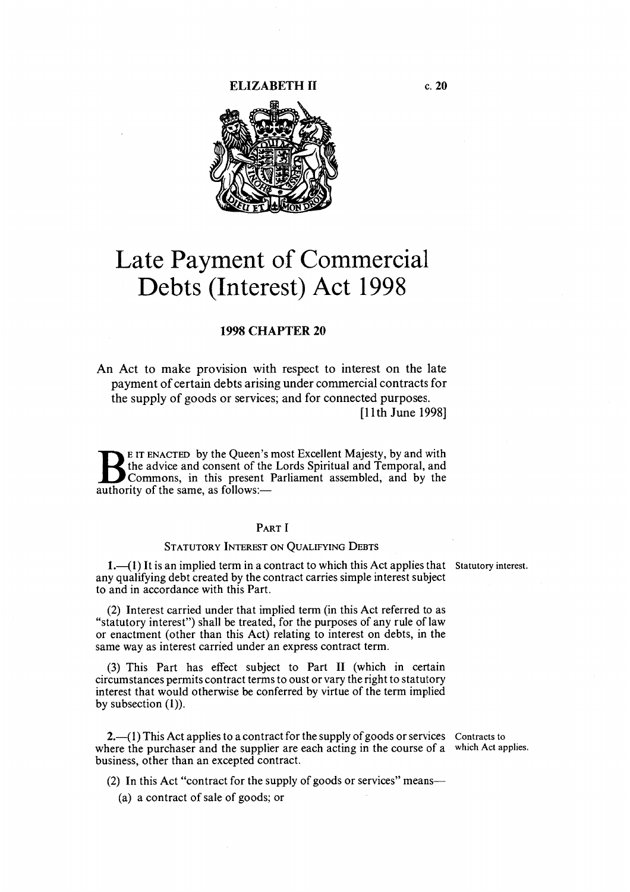#### ELIZABETH II c. 20



# Late Payment of Commercial Debts (Interest) Act 1998

# 1998 CHAPTER 20

An Act to make provision with respect to interest on the late payment of certain debts arising under commercial contracts for the supply of goods or services; and for connected purposes. [11th June 1998]

B E IT ENACTED by the Queen's most Excellent Majesty, by and with<br>the advice and consent of the Lords Spiritual and Temporal, and<br>Commons, in this present Parliament assembled, and by the<br>authority of the same as follows: the advice and consent of the Lords Spiritual and Temporal, and Commons, in this present Parliament assembled, and by the authority of the same, as follows:—

# PART I

#### STATUTORY INTEREST ON QUALIFYING DEBTS

1. (1) It is an implied term in a contract to which this Act applies that Statutory interest. any qualifying debt created by the contract carries simple interest subject to and in accordance with this Part.

(2) Interest carried under that implied term (in this Act referred to as "statutory interest") shall be treated, for the purposes of any rule of law or enactment (other than this Act) relating to interest on debts, in the same way as interest carried under an express contract term.

(3) This Part has effect subject to Part II (which in certain circumstances permits contract terms to oust or vary the right to statutory interest that would otherwise be conferred by virtue of the term implied by subsection (1)).

 $2.$  (1) This Act applies to a contract for the supply of goods or services Contracts to where the purchaser and the supplier are each acting in the course of a which Act applies. business, other than an excepted contract.

(2) In this Act "contract for the supply of goods or services" means—

(a) a contract of sale of goods; or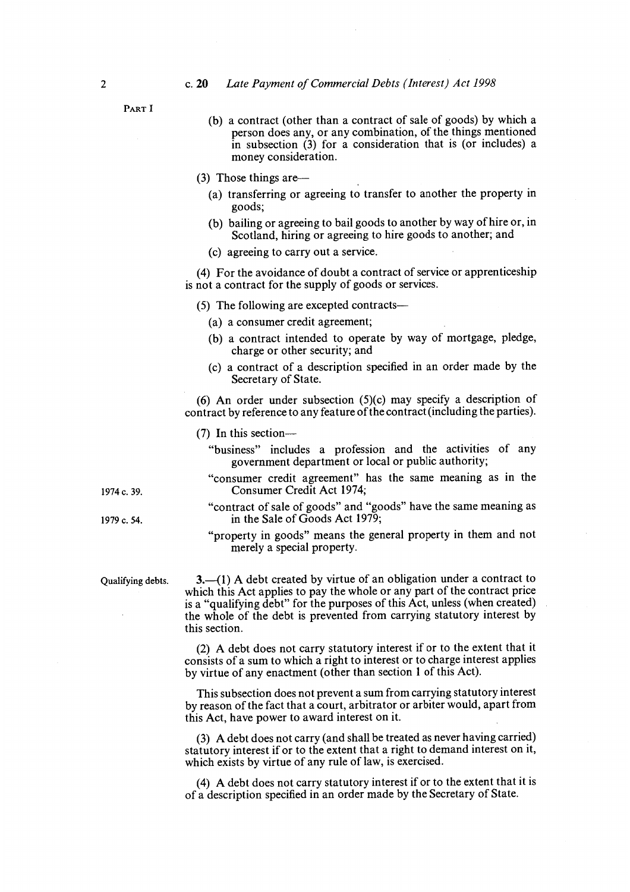#### <sup>2</sup>c. 20 Late Payment of Commercial Debts (Interest) Act 1998

PART I

- (b) a contract (other than a contract of sale of goods) by which a person does any, or any combination, of the things mentioned in subsection (3) for a consideration that is (or includes) a money consideration.
- (3) Those things are—
	- (a) transferring or agreeing to transfer to another the property in goods;
	- (b) bailing or agreeing to bail goods to another by way of hire or, in Scotland, hiring or agreeing to hire goods to another; and
	- (c) agreeing to carry out a service.

(4) For the avoidance of doubt a contract of service or apprenticeship is not a contract for the supply of goods or services.

(5) The following are excepted contracts—

- (a) a consumer credit agreement;
- (b) a contract intended to operate by way of mortgage, pledge, charge or other security; and
- (c) a contract of a description specified in an order made by the Secretary of State.

(6) An order under subsection (5)(c) may specify a description of contract by reference to any feature of the contract (including the parties).

(7) In this section—

- "business" includes a profession and the activities of any government department or local or public authority;
- "consumer credit agreement" has the same meaning as in the <sup>1974</sup>c. 39. Consumer Credit Act 1974;
- "contract of sale of goods" and "goods" have the same meaning as 1979 c. 54.  $\frac{1979 \text{ c}}{2}$  in the Sale of Goods Act 1979;
	- "property in goods" means the general property in them and not merely a special property.

Qualifying debts. 3.—( 1) A debt created by virtue of an obligation under a contract to which this Act applies to pay the whole or any part of the contract price is a "qualifying debt" for the purposes of this Act, unless (when created) the whole of the debt is prevented from carrying statutory interest by this section.

> (2) A debt does not carry statutory interest if or to the extent that it consists of a sum to which a right to interest or to charge interest applies by virtue of any enactment (other than section 1 of this Act).

> This subsection does not prevent a sum from carrying statutory interest by reason of the fact that a court, arbitrator or arbiter would, apart from this Act, have power to award interest on it.

> (3) A debt does not carry (and shall be treated as never having carried) statutory interest if or to the extent that a right to demand interest on it, which exists by virtue of any rule of law, is exercised.

> (4) A debt does not carry statutory interest if or to the extent that it is of a description specified in an order made by the Secretary of State.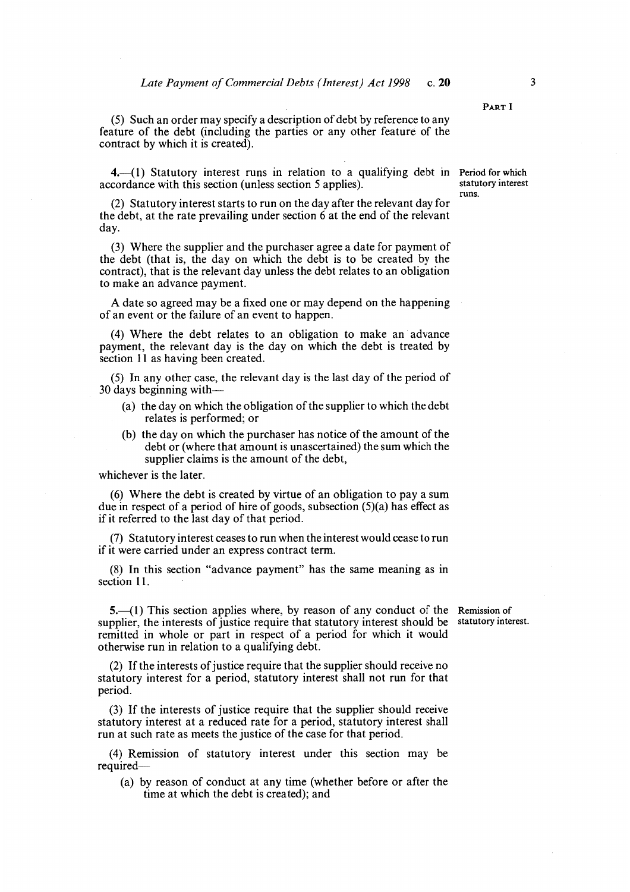(5) Such an order may specify a description of debt by reference to any feature of the debt (including the parties or any other feature of the contract by which it is created).

4.—(1) Statutory interest runs in relation to a qualifying debt in Period for which coordance with this section (unless section 5 applies). accordance with this section (unless section 5 applies).

(2) Statutory interest starts to run on the day after the relevant day for the debt, at the rate prevailing under section 6 at the end of the relevant day.

(3) Where the supplier and the purchaser agree a date for payment of the debt (that is, the day on which the debt is to be created by the contract), that is the relevant day unless the debt relates to an obligation to make an advance payment.

A date so agreed may be a fixed one or may depend on the happening of an event or the failure of an event to happen.

(4) Where the debt relates to an obligation to make an advance payment, the relevant day is the day on which the debt is treated by section 11 as having been created.

(5) In any other case, the relevant day is the last day of the period of 30 days beginning with—

- (a) the day on which the obligation of the supplier to which the debt relates is performed; or
- (b) the day on which the purchaser has notice of the amount of the debt or (where that amount is unascertained) the sum which the supplier claims is the amount of the debt,

whichever is the later.

(6) Where the debt is created by virtue of an obligation to pay a sum due in respect of a period of hire of goods, subsection (5)(a) has effect as if it referred to the last day of that period.

(7) Statutory interest ceases to run when the interest would cease to run if it were carried under an express contract term.

(8) In this section "advance payment" has the same meaning as in section 11.

5.—(l) This section applies where, by reason of any conduct of the Remission of supplier, the interests of justice require that statutory interest should be statutory interest. remitted in whole or part in respect of a period for which it would otherwise run in relation to a qualifying debt.

(2) If the interests of justice require that the supplier should receive no statutory interest for a period, statutory interest shall not run for that period.

(3) If the interests of justice require that the supplier should receive statutory interest at a reduced rate for a period, statutory interest shall run at such rate as meets the justice of the case for that period.

(4) Remission of statutory interest under this section may be required—

(a) by reason of conduct at any time (whether before or after the time at which the debt is created); and

PART I

runs.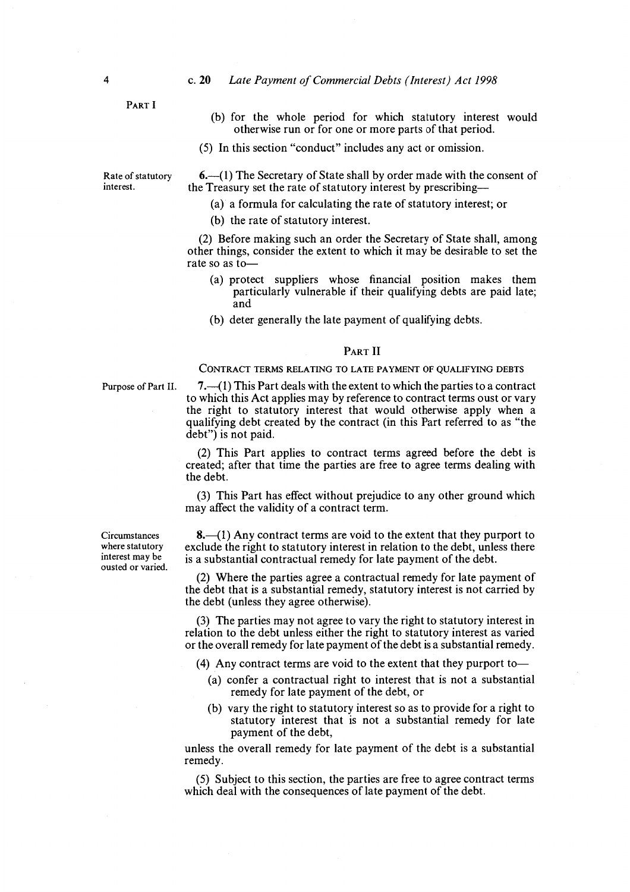## 4 c. 20 Late Payment of Commercial Debts (Interest) Act 1998

PART I

- (b) for the whole period for which statutory interest would otherwise run or for one or more parts of that period.
- (5) In this section "conduct" includes any act or omission.

Rate of statutory  $6.$ —(1) The Secretary of State shall by order made with the consent of interest.<br>the Treasury set the rate of statutory interest by prescribing the Treasury set the rate of statutory interest by prescribing—

- (a) a formula for calculating the rate of statutory interest; or
- (b) the rate of statutory interest.

(2) Before making such an order the Secretary of State shall, among other things, consider the extent to which it may be desirable to set the rate so as to—

- (a) protect suppliers whose financial position makes them particularly vulnerable if their qualifying debts are paid late; and
- (b) deter generally the late payment of qualifying debts.

#### PART II

#### CONTRACT TERMS RELATING TO LATE PAYMENT OF QUALIFYING DEBTS

Purpose of Part II. 7.—( 1) This Part deals with the extent to which the parties to a contract to which this Act applies may by reference to contract terms oust or vary the right to statutory interest that would otherwise apply when a qualifying debt created by the contract (in this Part referred to as "the debt") is not paid.

> (2) This Part applies to contract terms agreed before the debt is created; after that time the parties are free to agree terms dealing with the debt.

> (3) This Part has effect without prejudice to any other ground which may affect the validity of a contract term.

Circumstances  $\begin{array}{c} 8. & (1) \text{ Any contract terms are void to the extent that they purport to where stationary  
where statutory  
and the right to statutory interest in relation to the debt. unless there$ where statutory exclude the right to statutory interest in relation to the debt, unless there interest may be is a substantial contractual remedy for late nayment of the debt is a substantial contractual remedy for late payment of the debt.

> (2) Where the parties agree a contractual remedy for late payment of the debt that is a substantial remedy, statutory interest is not carried by the debt (unless they agree otherwise).

> (3) The parties may not agree to vary the right to statutory interest in relation to the debt unless either the right to statutory interest as varied or the overall remedy for late payment of the debt is a substantial remedy.

(4) Any contract terms are void to the extent that they purport to—

- (a) confer a contractual right to interest that is not a substantial remedy for late payment of the debt, or
- (b) vary the right to statutory interest so as to provide for a right to statutory interest that is not a substantial remedy for late payment of the debt,

unless the overall remedy for late payment of the debt is a substantial remedy.

(5) Subject to this section, the parties are free to agree contract terms which deal with the consequences of late payment of the debt.

ousted or varied.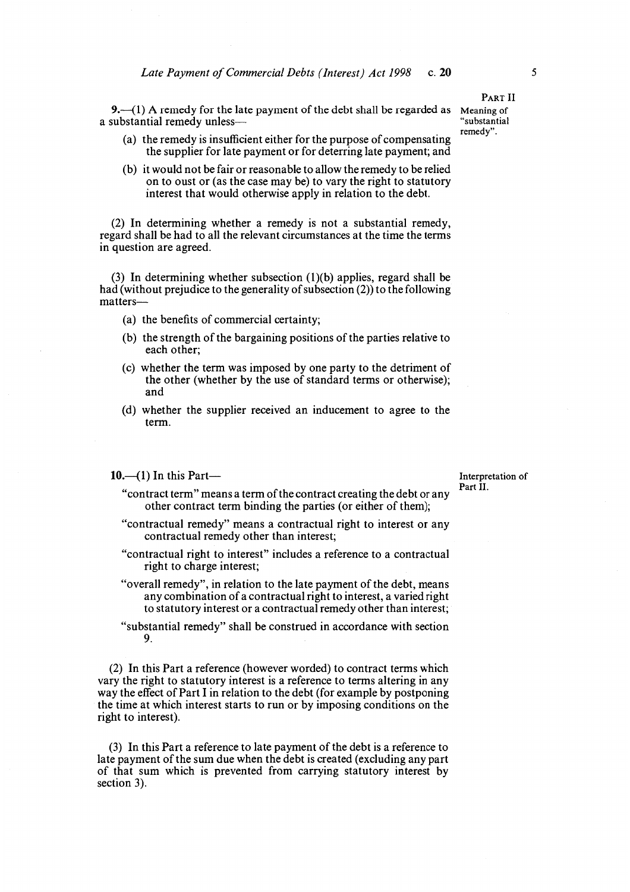9.—(1) A remedy for the late payment of the debt shall be regarded as Meaning of substantial remedy unless a substantial remedy unless-

- (a) the remedy is insufficient either for the purpose of compensating the supplier for late payment or for deterring late payment; and
- (b) it would not be fair or reasonable to allow the remedy to be relied on to oust or (as the case may be) to vary the right to statutory interest that would otherwise apply in relation to the debt.

(2) In determining whether a remedy is not a substantial remedy, regard shall be had to all the relevant circumstances at the time the terms in question are agreed.

(3) In determining whether subsection (1)(b) applies, regard shall be had (without prejudice to the generality of subsection (2)) to the following matters—

- (a) the benefits of commercial certainty;
- (b) the strength of the bargaining positions of the parties relative to each other;
- (c) whether the term was imposed by one party to the detriment of the other (whether by the use of standard terms or otherwise); and
- (d) whether the supplier received an inducement to agree to the term.

#### 10.—(1) In this Part— Interpretation of

Part II.

- "contract term" means a term of the contract creating the debt or any other contract term binding the parties (or either of them);
- "contractual remedy" means a contractual right to interest or any contractual remedy other than interest;
- "contractual right to interest" includes a reference to a contractual right to charge interest;
- "overall remedy", in relation to the late payment of the debt, means any combination of a contractual right to interest, a varied right to statutory interest or a contractual remedy other than interest;
- "substantial remedy" shall be construed in accordance with section 9.

(2) In this Part a reference (however worded) to contract terms which vary the right to statutory interest is a reference to terms altering in any way the effect of Part I in relation to the debt (for example by postponing the time at which interest starts to run or by imposing conditions on the right to interest).

(3) In this Part a reference to late payment of the debt is a reference to late payment of the sum due when the debt is created (excluding any part of that sum which is prevented from carrying statutory interest by section 3).

PART II

remedy".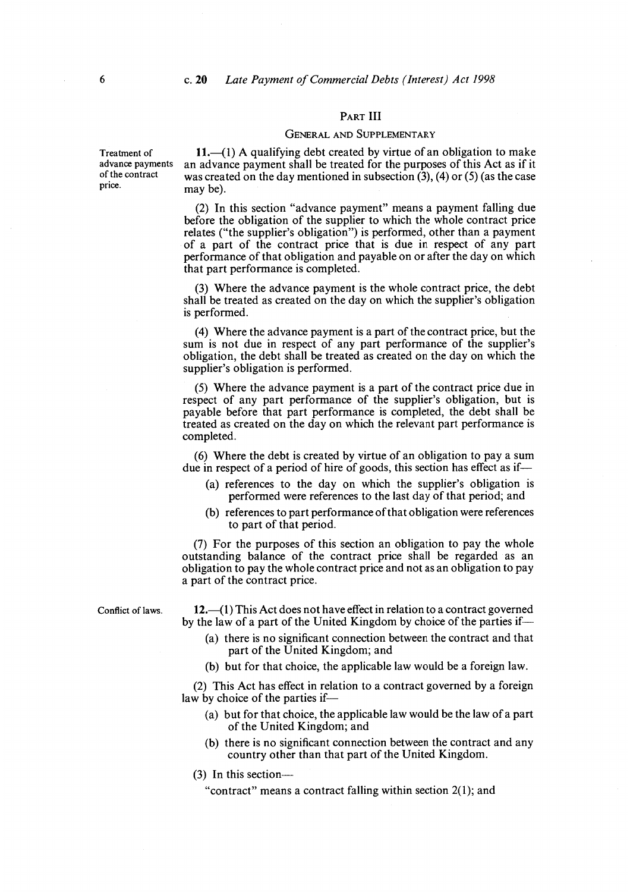#### PART III

## GENERAL AND SUPPLEMENTARY

Treatment of  $11.-(1)$  A qualifying debt created by virtue of an obligation to make advance payments an advance payment shall be treated for the purposes of this Act as if it advance payments an advance payment shall be treated for the purposes of this Act as if it of the contract was created on the day mentioned in subsection  $(3)$ ,  $(4)$  or  $(5)$  (as the case price. may be).

> (2) In this section "advance payment" means a payment falling due before the obligation of the supplier to which the whole contract price relates ("the supplier's obligation") is performed, other than a payment of a part of the contract price that is due in respect of any part performance of that obligation and payable on or after the day on which that part performance is completed.

> (3) Where the advance payment is the whole contract price, the debt shall be treated as created on the day on which the supplier's obligation is performed.

> (4) Where the advance payment is a part of the contract price, but the sum is not due in respect of any part performance of the supplier's obligation, the debt shall be treated as created on the day on which the supplier's obligation is performed.

> (5) Where the advance payment is a part of the contract price due in respect of any part performance of the supplier's obligation, but is payable before that part performance is completed, the debt shall be treated as created on the day on which the relevant part performance is completed.

> (6) Where the debt is created by virtue of an obligation to pay a sum due in respect of a period of hire of goods, this section has effect as if—

- (a) references to the day on which the supplier's obligation is performed were references to the last day of that period; and
- (b) references to part performance of that obligation were references to part of that period.

(7) For the purposes of this section an obligation to pay the whole outstanding balance of the contract price shall be regarded as an obligation to pay the whole contract price and not as an obligation to pay a part of the contract price.

Conflict of laws.  $12.-(1)$  This Act does not have effect in relation to a contract governed by the law of a part of the United Kingdom by choice of the parties if—

- (a) there is no significant connection between the contract and that part of the United Kingdom; and
- (b) but for that choice, the applicable law would be a foreign law.

(2) This Act has effect in relation to a contract governed by a foreign law by choice of the parties if—

- (a) but for that choice, the applicable law would be the law of a part of the United Kingdom; and
- (b) there is no significant connection between the contract and any country other than that part of the United Kingdom.
- (3) In this section—

"contract" means a contract falling within section 2(1); and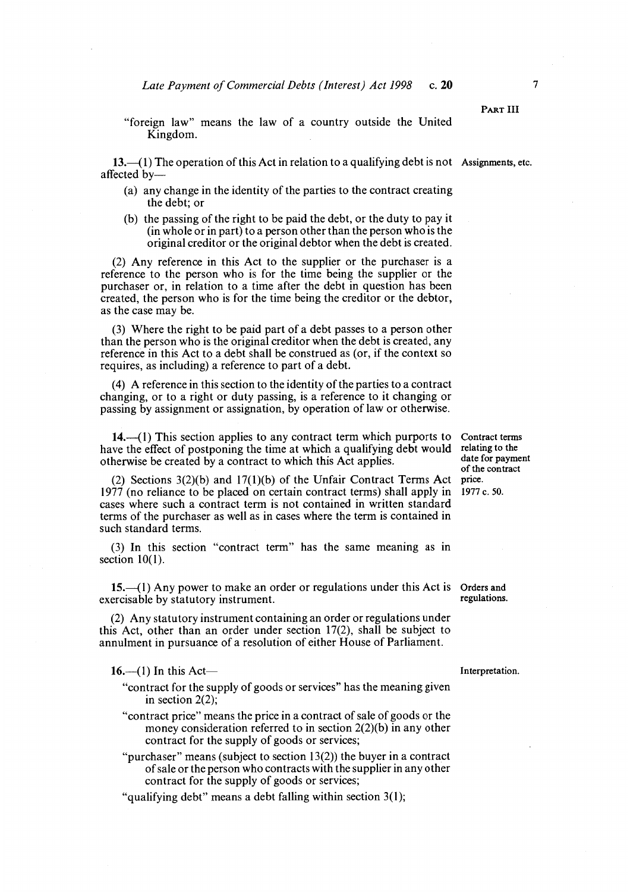"foreign law" means the law of a country outside the United Kingdom.

13.—(1) The operation of this Act in relation to a qualifying debt is not Assignments, etc. affected by—

- (a) any change in the identity of the parties to the contract creating the debt; or
- (b) the passing of the right to be paid the debt, or the duty to pay it (in whole or in part) to a person other than the person who is the original creditor or the original debtor when the debt is created.

(2) Any reference in this Act to the supplier or the purchaser is a reference to the person who is for the time being the supplier or the purchaser or, in relation to a time after the debt in question has been created, the person who is for the time being the creditor or the debtor, as the case may be.

(3) Where the right to be paid part of a debt passes to a person other than the person who is the original creditor when the debt is created, any reference in this Act to a debt shall be construed as (or, if the context so requires, as including) a reference to part of a debt.

(4) A reference in this section to the identity of the parties to a contract changing, or to a right or duty passing, is a reference to it changing or passing by assignment or assignation, by operation of law or otherwise.

 $14.$ —(1) This section applies to any contract term which purports to Contract terms we the effect of postponing the time at which a qualifying debt would relating to the have the effect of postponing the time at which a qualifying debt would relating to the otherwise be created by a contract to which this Act applies otherwise be created by a contract to which this Act applies.

(2) Sections  $3(2)(b)$  and  $17(1)(b)$  of the Unfair Contract Terms Act price.<br>(2)  $77$  (no reliance to be placed on certain contract terms) shall apply in 1977 c. 50.  $1977$  (no reliance to be placed on certain contract terms) shall apply in cases where such a contract term is not contained in written standard terms of the purchaser as well as in cases where the term is contained in such standard terms.

(3) In this section "contract term" has the same meaning as in section  $10(1)$ .

 $15$ .—(1) Any power to make an order or regulations under this Act is Orders and ercisable by statutory instrument. exercisable by statutory instrument.

(2) Any statutory instrument containing an order or regulations under this Act, other than an order under section 17(2), shall be subject to annulment in pursuance of a resolution of either House of Parliament.

16.—(1) In this Act— Interpretation.

- "contract for the supply of goods or services" has the meaning given in section 2(2);
- "contract price" means the price in a contract of sale of goods or the money consideration referred to in section 2(2)(b) in any other contract for the supply of goods or services;
- "purchaser" means (subject to section  $13(2)$ ) the buyer in a contract of sale or the person who contracts with the supplier in any other contract for the supply of goods or services;

"qualifying debt" means a debt falling within section 3(1);

of the contract

PART III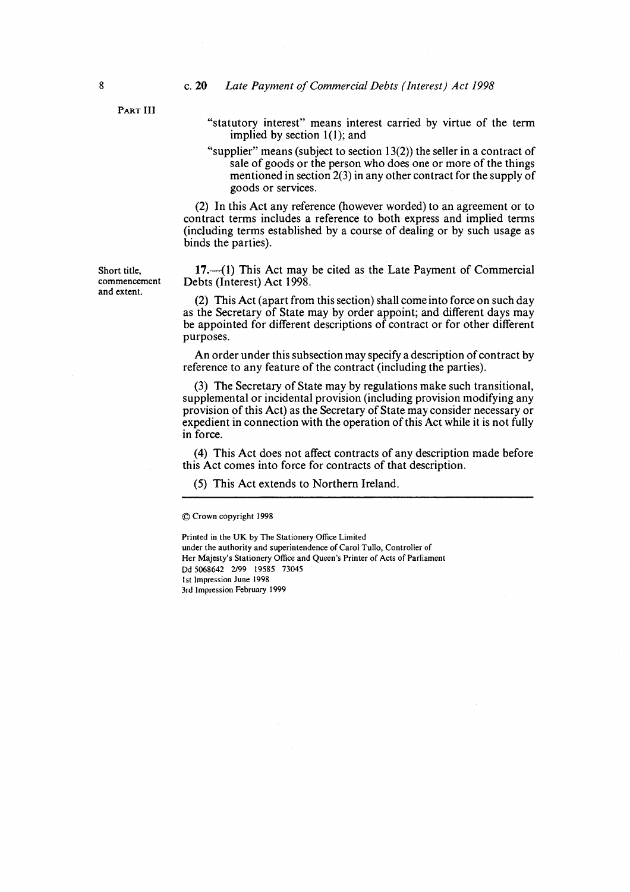#### 8 **c. 20** Late Payment of Commercial Debts (Interest) Act 1998

PART III

- "statutory interest" means interest carried by virtue of the term implied by section 1(1); and
- "supplier" means (subject to section  $13(2)$ ) the seller in a contract of sale of goods or the person who does one or more of the things mentioned in section 2(3) in any other contract for the supply of goods or services.

(2) In this Act any reference (however worded) to an agreement or to contract terms includes a reference to both express and implied terms (including terms established by a course of dealing or by such usage as binds the parties).

Short title, 17.—(1) This Act may be cited as the Late Payment of Commercial commencement Debts (Interest) Act 1998. commencement Debts (Interest) Act 1998.<br>and extent.

 $(2)$  This Act (apart from this section) shall come into force on such day as the Secretary of State may by order appoint; and different days may be appointed for different descriptions of contract or for other different purposes.

An order under this subsection may specify a description of contract by reference to any feature of the contract (including the parties).

(3) The Secretary of State may by regulations make such transitional, supplemental or incidental provision (including provision modifying any provision of this Act) as the Secretary of State may consider necessary or expedient in connection with the operation of this Act while it is not fully in force.

(4) This Act does not affect contracts of any description made before this Act comes into force for contracts of that description.

## (5) This Act extends to Northern Ireland.

© Crown copyright 1998

Printed in the UK by The Stationery Office Limited under the authority and superintendence of Carol Tullo, Controller of Her Majesty's Stationery Office and Queen's Printer of Acts of Parliament Dd 5068642 2/99 19585 73045 1st Impression June 1998 3rd Impression February 1999